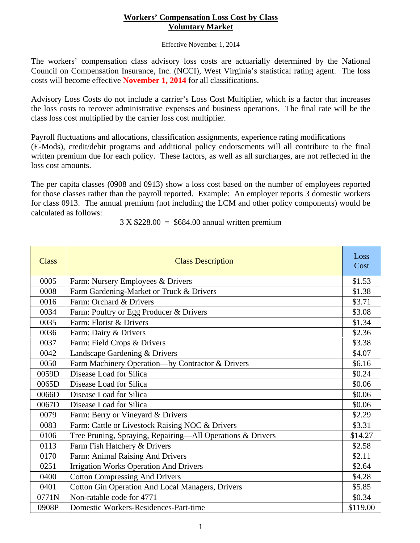## **Workers' Compensation Loss Cost by Class Voluntary Market**

Effective November 1, 2014

The workers' compensation class advisory loss costs are actuarially determined by the National Council on Compensation Insurance, Inc. (NCCI), West Virginia's statistical rating agent. The loss costs will become effective **November 1, 2014** for all classifications.

Advisory Loss Costs do not include a carrier's Loss Cost Multiplier, which is a factor that increases the loss costs to recover administrative expenses and business operations. The final rate will be the class loss cost multiplied by the carrier loss cost multiplier.

Payroll fluctuations and allocations, classification assignments, experience rating modifications (E-Mods), credit/debit programs and additional policy endorsements will all contribute to the final written premium due for each policy. These factors, as well as all surcharges, are not reflected in the loss cost amounts.

The per capita classes (0908 and 0913) show a loss cost based on the number of employees reported for those classes rather than the payroll reported. Example: An employer reports 3 domestic workers for class 0913. The annual premium (not including the LCM and other policy components) would be calculated as follows:

| <b>Class</b> | <b>Class Description</b>                                   | Loss<br>Cost |
|--------------|------------------------------------------------------------|--------------|
| 0005         | Farm: Nursery Employees & Drivers                          | \$1.53       |
| 0008         | Farm Gardening-Market or Truck & Drivers                   | \$1.38       |
| 0016         | Farm: Orchard & Drivers                                    | \$3.71       |
| 0034         | Farm: Poultry or Egg Producer & Drivers                    | \$3.08       |
| 0035         | Farm: Florist & Drivers                                    | \$1.34       |
| 0036         | Farm: Dairy & Drivers                                      | \$2.36       |
| 0037         | Farm: Field Crops & Drivers                                | \$3.38       |
| 0042         | Landscape Gardening & Drivers                              | \$4.07       |
| 0050         | Farm Machinery Operation-by Contractor & Drivers           | \$6.16       |
| 0059D        | Disease Load for Silica                                    | \$0.24       |
| 0065D        | Disease Load for Silica                                    | \$0.06       |
| 0066D        | Disease Load for Silica                                    | \$0.06       |
| 0067D        | Disease Load for Silica                                    | \$0.06       |
| 0079         | Farm: Berry or Vineyard & Drivers                          | \$2.29       |
| 0083         | Farm: Cattle or Livestock Raising NOC & Drivers            | \$3.31       |
| 0106         | Tree Pruning, Spraying, Repairing-All Operations & Drivers | \$14.27      |
| 0113         | Farm Fish Hatchery & Drivers                               | \$2.58       |
| 0170         | Farm: Animal Raising And Drivers                           | \$2.11       |
| 0251         | <b>Irrigation Works Operation And Drivers</b>              | \$2.64       |
| 0400         | <b>Cotton Compressing And Drivers</b>                      | \$4.28       |
| 0401         | <b>Cotton Gin Operation And Local Managers, Drivers</b>    | \$5.85       |
| 0771N        | Non-ratable code for 4771                                  | \$0.34       |
| 0908P        | Domestic Workers-Residences-Part-time                      | \$119.00     |

 $3 X $228.00 = $684.00$  annual written premium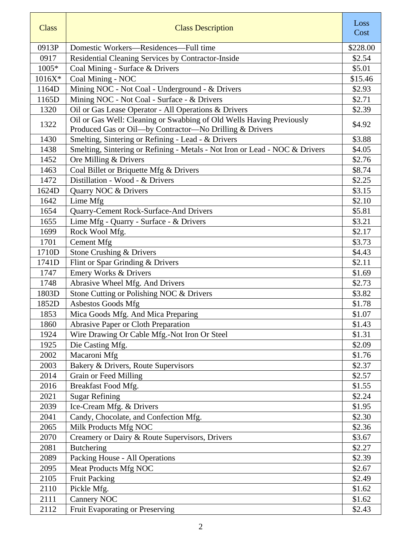| <b>Class</b> | <b>Class Description</b>                                                                                                        | Loss<br>Cost |
|--------------|---------------------------------------------------------------------------------------------------------------------------------|--------------|
| 0913P        | Domestic Workers-Residences-Full time                                                                                           | \$228.00     |
| 0917         | Residential Cleaning Services by Contractor-Inside                                                                              | \$2.54       |
| 1005*        | Coal Mining - Surface & Drivers                                                                                                 | \$5.01       |
| 1016X*       | Coal Mining - NOC                                                                                                               | \$15.46      |
| 1164D        | Mining NOC - Not Coal - Underground - & Drivers                                                                                 | \$2.93       |
| 1165D        | Mining NOC - Not Coal - Surface - & Drivers                                                                                     | \$2.71       |
| 1320         | Oil or Gas Lease Operator - All Operations & Drivers                                                                            | \$2.39       |
| 1322         | Oil or Gas Well: Cleaning or Swabbing of Old Wells Having Previously<br>Produced Gas or Oil-by Contractor-No Drilling & Drivers | \$4.92       |
| 1430         | Smelting, Sintering or Refining - Lead - & Drivers                                                                              | \$3.88       |
| 1438         | Smelting, Sintering or Refining - Metals - Not Iron or Lead - NOC & Drivers                                                     | \$4.05       |
| 1452         | Ore Milling & Drivers                                                                                                           | \$2.76       |
| 1463         | Coal Billet or Briquette Mfg & Drivers                                                                                          | \$8.74       |
| 1472         | Distillation - Wood - & Drivers                                                                                                 | \$2.25       |
| 1624D        | Quarry NOC & Drivers                                                                                                            | \$3.15       |
| 1642         | Lime Mfg                                                                                                                        | \$2.10       |
| 1654         | Quarry-Cement Rock-Surface-And Drivers                                                                                          | \$5.81       |
| 1655         | Lime Mfg - Quarry - Surface - & Drivers                                                                                         | \$3.21       |
| 1699         | Rock Wool Mfg.                                                                                                                  | \$2.17       |
| 1701         | <b>Cement Mfg</b>                                                                                                               | \$3.73       |
| 1710D        | Stone Crushing & Drivers                                                                                                        | \$4.43       |
| 1741D        | Flint or Spar Grinding & Drivers                                                                                                | \$2.11       |
| 1747         | Emery Works & Drivers                                                                                                           | \$1.69       |
| 1748         | Abrasive Wheel Mfg. And Drivers                                                                                                 | \$2.73       |
| 1803D        | Stone Cutting or Polishing NOC & Drivers                                                                                        | \$3.82       |
| 1852D        | Asbestos Goods Mfg                                                                                                              | \$1.78       |
| 1853         | Mica Goods Mfg. And Mica Preparing                                                                                              | \$1.07       |
| 1860         | Abrasive Paper or Cloth Preparation                                                                                             | \$1.43       |
| 1924         | Wire Drawing Or Cable Mfg.-Not Iron Or Steel                                                                                    | \$1.31       |
| 1925         | Die Casting Mfg.                                                                                                                | \$2.09       |
| 2002         | Macaroni Mfg                                                                                                                    | \$1.76       |
| 2003         | Bakery & Drivers, Route Supervisors                                                                                             | \$2.37       |
| 2014         | Grain or Feed Milling                                                                                                           | \$2.57       |
| 2016         | Breakfast Food Mfg.                                                                                                             | \$1.55       |
| 2021         | <b>Sugar Refining</b>                                                                                                           | \$2.24       |
| 2039         | Ice-Cream Mfg. & Drivers                                                                                                        | \$1.95       |
| 2041         | Candy, Chocolate, and Confection Mfg.                                                                                           | \$2.30       |
| 2065         | Milk Products Mfg NOC                                                                                                           | \$2.36       |
| 2070         | Creamery or Dairy & Route Supervisors, Drivers                                                                                  | \$3.67       |
| 2081         | <b>Butchering</b>                                                                                                               | \$2.27       |
| 2089         | Packing House - All Operations                                                                                                  | \$2.39       |
| 2095         | Meat Products Mfg NOC                                                                                                           | \$2.67       |
| 2105         | <b>Fruit Packing</b>                                                                                                            | \$2.49       |
| 2110         | Pickle Mfg.                                                                                                                     | \$1.62       |
| 2111         | Cannery NOC                                                                                                                     | \$1.62       |
| 2112         | <b>Fruit Evaporating or Preserving</b>                                                                                          | \$2.43       |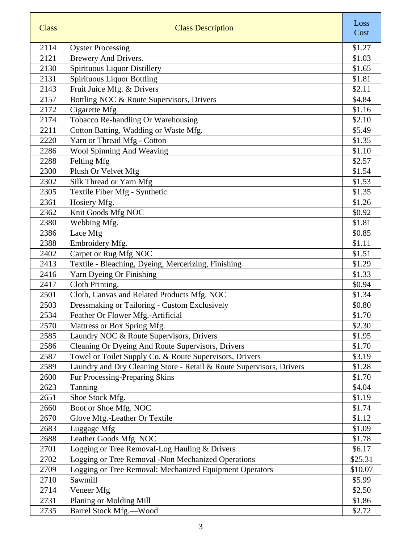| <b>Class</b> | <b>Class Description</b>                                             | Loss<br>Cost |
|--------------|----------------------------------------------------------------------|--------------|
| 2114         | <b>Oyster Processing</b>                                             | \$1.27       |
| 2121         | Brewery And Drivers.                                                 | \$1.03       |
| 2130         | Spirituous Liquor Distillery                                         | \$1.65       |
| 2131         | <b>Spirituous Liquor Bottling</b>                                    | \$1.81       |
| 2143         | Fruit Juice Mfg. & Drivers                                           | \$2.11       |
| 2157         | Bottling NOC & Route Supervisors, Drivers                            | \$4.84       |
| 2172         | Cigarette Mfg                                                        | \$1.16       |
| 2174         | Tobacco Re-handling Or Warehousing                                   | \$2.10       |
| 2211         | Cotton Batting, Wadding or Waste Mfg.                                | \$5.49       |
| 2220         | Yarn or Thread Mfg - Cotton                                          | \$1.35       |
| 2286         | Wool Spinning And Weaving                                            | \$1.10       |
| 2288         | Felting Mfg                                                          | \$2.57       |
| 2300         | Plush Or Velvet Mfg                                                  | \$1.54       |
| 2302         | Silk Thread or Yarn Mfg                                              | \$1.53       |
| 2305         | Textile Fiber Mfg - Synthetic                                        | \$1.35       |
| 2361         | Hosiery Mfg.                                                         | \$1.26       |
| 2362         | Knit Goods Mfg NOC                                                   | \$0.92       |
| 2380         | Webbing Mfg.                                                         | \$1.81       |
| 2386         | Lace Mfg                                                             | \$0.85       |
| 2388         | Embroidery Mfg.                                                      | \$1.11       |
| 2402         | Carpet or Rug Mfg NOC                                                | \$1.51       |
| 2413         | Textile - Bleaching, Dyeing, Mercerizing, Finishing                  | \$1.29       |
| 2416         | Yarn Dyeing Or Finishing                                             | \$1.33       |
| 2417         | Cloth Printing.                                                      | \$0.94       |
| 2501         | Cloth, Canvas and Related Products Mfg. NOC                          | \$1.34       |
| 2503         | Dressmaking or Tailoring - Custom Exclusively                        | \$0.80       |
| 2534         | Feather Or Flower Mfg.-Artificial                                    | \$1.70       |
| 2570         | Mattress or Box Spring Mfg.                                          | \$2.30       |
| 2585         | Laundry NOC & Route Supervisors, Drivers                             | \$1.95       |
| 2586         | Cleaning Or Dyeing And Route Supervisors, Drivers                    | \$1.70       |
| 2587         | Towel or Toilet Supply Co. & Route Supervisors, Drivers              | \$3.19       |
| 2589         | Laundry and Dry Cleaning Store - Retail & Route Supervisors, Drivers | \$1.28       |
| 2600         | Fur Processing-Preparing Skins                                       | \$1.70       |
| 2623         | Tanning                                                              | \$4.04       |
| 2651         | Shoe Stock Mfg.                                                      | \$1.19       |
| 2660         | Boot or Shoe Mfg. NOC                                                | \$1.74       |
| 2670         | Glove Mfg.-Leather Or Textile                                        | \$1.12       |
| 2683         | Luggage Mfg                                                          | \$1.09       |
| 2688         | Leather Goods Mfg NOC                                                | \$1.78       |
| 2701         | Logging or Tree Removal-Log Hauling & Drivers                        | \$6.17       |
| 2702         | Logging or Tree Removal -Non Mechanized Operations                   | \$25.31      |
| 2709         | Logging or Tree Removal: Mechanized Equipment Operators              | \$10.07      |
| 2710         | Sawmill                                                              | \$5.99       |
| 2714         | Veneer Mfg                                                           | \$2.50       |
| 2731         | Planing or Molding Mill                                              | \$1.86       |
| 2735         | <b>Barrel Stock Mfg.-Wood</b>                                        | \$2.72       |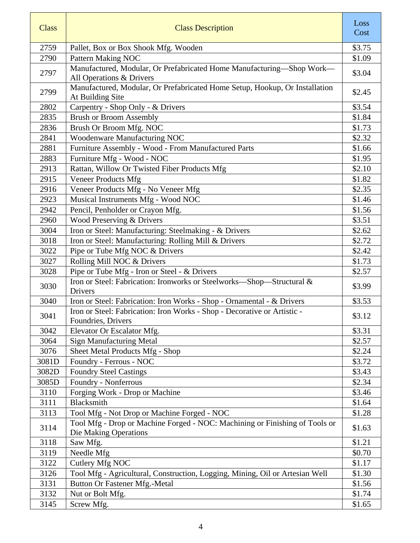| <b>Class</b> | <b>Class Description</b>                                                                             | Loss<br>Cost |
|--------------|------------------------------------------------------------------------------------------------------|--------------|
| 2759         | Pallet, Box or Box Shook Mfg. Wooden                                                                 | \$3.75       |
| 2790         | <b>Pattern Making NOC</b>                                                                            | \$1.09       |
| 2797         | Manufactured, Modular, Or Prefabricated Home Manufacturing-Shop Work-<br>All Operations & Drivers    | \$3.04       |
| 2799         | Manufactured, Modular, Or Prefabricated Home Setup, Hookup, Or Installation<br>At Building Site      | \$2.45       |
| 2802         | Carpentry - Shop Only - & Drivers                                                                    | \$3.54       |
| 2835         | <b>Brush or Broom Assembly</b>                                                                       | \$1.84       |
| 2836         | Brush Or Broom Mfg. NOC                                                                              | \$1.73       |
| 2841         | Woodenware Manufacturing NOC                                                                         | \$2.32       |
| 2881         | Furniture Assembly - Wood - From Manufactured Parts                                                  | \$1.66       |
| 2883         | Furniture Mfg - Wood - NOC                                                                           | \$1.95       |
| 2913         | Rattan, Willow Or Twisted Fiber Products Mfg                                                         | \$2.10       |
| 2915         | Veneer Products Mfg                                                                                  | \$1.82       |
| 2916         | Veneer Products Mfg - No Veneer Mfg                                                                  | \$2.35       |
| 2923         | Musical Instruments Mfg - Wood NOC                                                                   | \$1.46       |
| 2942         | Pencil, Penholder or Crayon Mfg.                                                                     | \$1.56       |
| 2960         | Wood Preserving & Drivers                                                                            | \$3.51       |
| 3004         | Iron or Steel: Manufacturing: Steelmaking - & Drivers                                                | \$2.62       |
| 3018         | Iron or Steel: Manufacturing: Rolling Mill & Drivers                                                 | \$2.72       |
| 3022         | Pipe or Tube Mfg NOC & Drivers                                                                       | \$2.42       |
| 3027         | Rolling Mill NOC & Drivers                                                                           | \$1.73       |
| 3028         | Pipe or Tube Mfg - Iron or Steel - & Drivers                                                         | \$2.57       |
| 3030         | Iron or Steel: Fabrication: Ironworks or Steelworks-Shop-Structural &<br>Drivers                     | \$3.99       |
| 3040         | Iron or Steel: Fabrication: Iron Works - Shop - Ornamental - & Drivers                               | \$3.53       |
| 3041         | Iron or Steel: Fabrication: Iron Works - Shop - Decorative or Artistic -<br>Foundries, Drivers       | \$3.12       |
| 3042         | Elevator Or Escalator Mfg.                                                                           | \$3.31       |
| 3064         | <b>Sign Manufacturing Metal</b>                                                                      | \$2.57       |
| 3076         | Sheet Metal Products Mfg - Shop                                                                      | \$2.24       |
| 3081D        | Foundry - Ferrous - NOC                                                                              | \$3.72       |
| 3082D        | <b>Foundry Steel Castings</b>                                                                        | \$3.43       |
| 3085D        | Foundry - Nonferrous                                                                                 | \$2.34       |
| 3110         | Forging Work - Drop or Machine                                                                       | \$3.46       |
| 3111         | Blacksmith                                                                                           | \$1.64       |
| 3113         | Tool Mfg - Not Drop or Machine Forged - NOC                                                          | \$1.28       |
| 3114         | Tool Mfg - Drop or Machine Forged - NOC: Machining or Finishing of Tools or<br>Die Making Operations | \$1.63       |
| 3118         | Saw Mfg.                                                                                             | \$1.21       |
| 3119         | Needle Mfg                                                                                           | \$0.70       |
| 3122         | Cutlery Mfg NOC                                                                                      | \$1.17       |
| 3126         | Tool Mfg - Agricultural, Construction, Logging, Mining, Oil or Artesian Well                         | \$1.30       |
| 3131         | Button Or Fastener Mfg.-Metal                                                                        | \$1.56       |
| 3132         | Nut or Bolt Mfg.                                                                                     | \$1.74       |
| 3145         | Screw Mfg.                                                                                           | \$1.65       |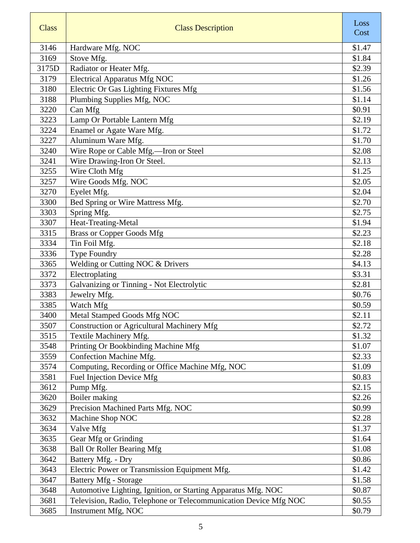| <b>Class</b> | <b>Class Description</b>                                                                                                          | Loss<br>Cost     |
|--------------|-----------------------------------------------------------------------------------------------------------------------------------|------------------|
| 3146         | Hardware Mfg. NOC                                                                                                                 | \$1.47           |
| 3169         | Stove Mfg.                                                                                                                        | \$1.84           |
| 3175D        | Radiator or Heater Mfg.                                                                                                           | \$2.39           |
| 3179         | <b>Electrical Apparatus Mfg NOC</b>                                                                                               | \$1.26           |
| 3180         | Electric Or Gas Lighting Fixtures Mfg                                                                                             | \$1.56           |
| 3188         | Plumbing Supplies Mfg, NOC                                                                                                        | \$1.14           |
| 3220         | Can Mfg                                                                                                                           | \$0.91           |
| 3223         | Lamp Or Portable Lantern Mfg                                                                                                      | \$2.19           |
| 3224         | Enamel or Agate Ware Mfg.                                                                                                         | \$1.72           |
| 3227         | Aluminum Ware Mfg.                                                                                                                | \$1.70           |
| 3240         | Wire Rope or Cable Mfg.-Iron or Steel                                                                                             | \$2.08           |
| 3241         | Wire Drawing-Iron Or Steel.                                                                                                       | \$2.13           |
| 3255         | Wire Cloth Mfg                                                                                                                    | \$1.25           |
| 3257         | Wire Goods Mfg. NOC                                                                                                               | \$2.05           |
| 3270         | Eyelet Mfg.                                                                                                                       | \$2.04           |
| 3300         | Bed Spring or Wire Mattress Mfg.                                                                                                  | \$2.70           |
| 3303         | Spring Mfg.                                                                                                                       | \$2.75           |
| 3307         | Heat-Treating-Metal                                                                                                               | \$1.94           |
| 3315         | <b>Brass or Copper Goods Mfg</b>                                                                                                  | \$2.23           |
| 3334         | Tin Foil Mfg.                                                                                                                     | \$2.18           |
| 3336         | Type Foundry                                                                                                                      | \$2.28           |
| 3365         | Welding or Cutting NOC & Drivers                                                                                                  | \$4.13           |
| 3372         | Electroplating                                                                                                                    | \$3.31           |
| 3373         | Galvanizing or Tinning - Not Electrolytic                                                                                         | \$2.81           |
| 3383         | Jewelry Mfg.                                                                                                                      | \$0.76           |
| 3385         | Watch Mfg                                                                                                                         | \$0.59           |
| 3400         | Metal Stamped Goods Mfg NOC                                                                                                       | \$2.11           |
| 3507         | <b>Construction or Agricultural Machinery Mfg</b>                                                                                 | \$2.72           |
| 3515         | Textile Machinery Mfg.                                                                                                            | \$1.32           |
| 3548         | Printing Or Bookbinding Machine Mfg                                                                                               | \$1.07           |
| 3559         | Confection Machine Mfg.                                                                                                           | \$2.33           |
| 3574         | Computing, Recording or Office Machine Mfg, NOC                                                                                   | \$1.09           |
| 3581         | Fuel Injection Device Mfg                                                                                                         | \$0.83           |
| 3612         | Pump Mfg.                                                                                                                         | \$2.15           |
| 3620         | Boiler making                                                                                                                     | \$2.26           |
| 3629         | Precision Machined Parts Mfg. NOC                                                                                                 | \$0.99           |
| 3632         | Machine Shop NOC                                                                                                                  | \$2.28           |
| 3634         | Valve Mfg                                                                                                                         | \$1.37           |
| 3635<br>3638 | Gear Mfg or Grinding                                                                                                              | \$1.64<br>\$1.08 |
|              | <b>Ball Or Roller Bearing Mfg</b>                                                                                                 |                  |
| 3642         | Battery Mfg. - Dry                                                                                                                | \$0.86           |
| 3643         | Electric Power or Transmission Equipment Mfg.                                                                                     | \$1.42           |
| 3647<br>3648 | <b>Battery Mfg - Storage</b>                                                                                                      | \$1.58           |
| 3681         | Automotive Lighting, Ignition, or Starting Apparatus Mfg. NOC<br>Television, Radio, Telephone or Telecommunication Device Mfg NOC | \$0.87           |
| 3685         | Instrument Mfg, NOC                                                                                                               | \$0.55<br>\$0.79 |
|              |                                                                                                                                   |                  |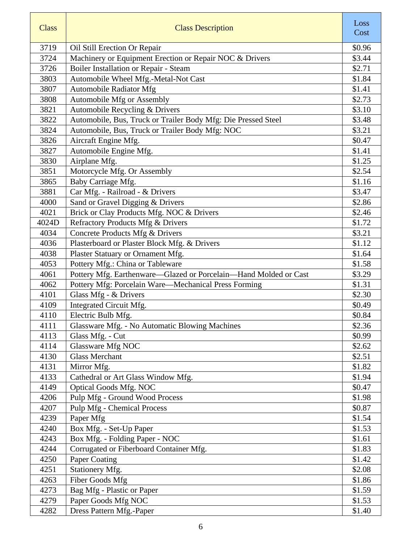| <b>Class</b> | <b>Class Description</b>                                         | Loss<br>Cost |
|--------------|------------------------------------------------------------------|--------------|
| 3719         | Oil Still Erection Or Repair                                     | \$0.96       |
| 3724         | Machinery or Equipment Erection or Repair NOC & Drivers          | \$3.44       |
| 3726         | Boiler Installation or Repair - Steam                            | \$2.71       |
| 3803         | Automobile Wheel Mfg.-Metal-Not Cast                             | \$1.84       |
| 3807         | <b>Automobile Radiator Mfg</b>                                   | \$1.41       |
| 3808         | Automobile Mfg or Assembly                                       | \$2.73       |
| 3821         | Automobile Recycling & Drivers                                   | \$3.10       |
| 3822         | Automobile, Bus, Truck or Trailer Body Mfg: Die Pressed Steel    | \$3.48       |
| 3824         | Automobile, Bus, Truck or Trailer Body Mfg: NOC                  | \$3.21       |
| 3826         | Aircraft Engine Mfg.                                             | \$0.47       |
| 3827         | Automobile Engine Mfg.                                           | \$1.41       |
| 3830         | Airplane Mfg.                                                    | \$1.25       |
| 3851         | Motorcycle Mfg. Or Assembly                                      | \$2.54       |
| 3865         | Baby Carriage Mfg.                                               | \$1.16       |
| 3881         | Car Mfg. - Railroad - & Drivers                                  | \$3.47       |
| 4000         | Sand or Gravel Digging & Drivers                                 | \$2.86       |
| 4021         | Brick or Clay Products Mfg. NOC & Drivers                        | \$2.46       |
| 4024D        | Refractory Products Mfg & Drivers                                | \$1.72       |
| 4034         | Concrete Products Mfg & Drivers                                  | \$3.21       |
| 4036         | Plasterboard or Plaster Block Mfg. & Drivers                     | \$1.12       |
| 4038         | Plaster Statuary or Ornament Mfg.                                | \$1.64       |
| 4053         | Pottery Mfg.: China or Tableware                                 | \$1.58       |
| 4061         | Pottery Mfg. Earthenware-Glazed or Porcelain-Hand Molded or Cast | \$3.29       |
| 4062         | Pottery Mfg: Porcelain Ware—Mechanical Press Forming             | \$1.31       |
| 4101         | Glass Mfg - & Drivers                                            | \$2.30       |
| 4109         | Integrated Circuit Mfg.                                          | \$0.49       |
| 4110         | Electric Bulb Mfg.                                               | \$0.84       |
| 4111         | Glassware Mfg. - No Automatic Blowing Machines                   | \$2.36       |
| 4113         | Glass Mfg. - Cut                                                 | \$0.99       |
| 4114         | Glassware Mfg NOC                                                | \$2.62       |
| 4130         | <b>Glass Merchant</b>                                            | \$2.51       |
| 4131         | Mirror Mfg.                                                      | \$1.82       |
| 4133         | Cathedral or Art Glass Window Mfg.                               | \$1.94       |
| 4149         | <b>Optical Goods Mfg. NOC</b>                                    | \$0.47       |
| 4206         | Pulp Mfg - Ground Wood Process                                   | \$1.98       |
| 4207         | <b>Pulp Mfg - Chemical Process</b>                               | \$0.87       |
| 4239         | Paper Mfg                                                        | \$1.54       |
| 4240         | Box Mfg. - Set-Up Paper                                          | \$1.53       |
| 4243         | Box Mfg. - Folding Paper - NOC                                   | \$1.61       |
| 4244         | Corrugated or Fiberboard Container Mfg.                          | \$1.83       |
| 4250         | Paper Coating                                                    | \$1.42       |
| 4251         | Stationery Mfg.                                                  | \$2.08       |
| 4263         | <b>Fiber Goods Mfg</b>                                           | \$1.86       |
| 4273         | Bag Mfg - Plastic or Paper                                       | \$1.59       |
| 4279         | Paper Goods Mfg NOC                                              | \$1.53       |
| 4282         | Dress Pattern Mfg.-Paper                                         | \$1.40       |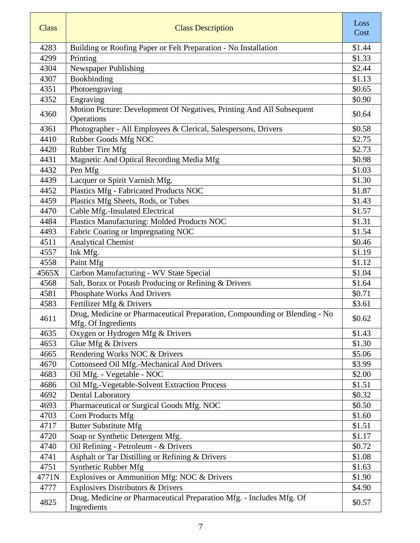| <b>Class</b> | <b>Class Description</b>                                                                          | Loss<br>Cost |
|--------------|---------------------------------------------------------------------------------------------------|--------------|
| 4283         | Building or Roofing Paper or Felt Preparation - No Installation                                   | \$1.44       |
| 4299         | Printing                                                                                          | \$1.33       |
| 4304         | Newspaper Publishing                                                                              | \$2.44       |
| 4307         | Bookbinding                                                                                       | \$1.13       |
| 4351         | Photoengraving                                                                                    | \$0.65       |
| 4352         | Engraving                                                                                         | \$0.90       |
| 4360         | Motion Picture: Development Of Negatives, Printing And All Subsequent<br>Operations               | \$0.64       |
| 4361         | Photographer - All Employees & Clerical, Salespersons, Drivers                                    | \$0.58       |
| 4410         | Rubber Goods Mfg NOC                                                                              | \$2.75       |
| 4420         | Rubber Tire Mfg                                                                                   | \$2.73       |
| 4431         | Magnetic And Optical Recording Media Mfg                                                          | \$0.98       |
| 4432         | Pen Mfg                                                                                           | \$1.03       |
| 4439         | Lacquer or Spirit Varnish Mfg.                                                                    | \$1.30       |
| 4452         | Plastics Mfg - Fabricated Products NOC                                                            | \$1.87       |
| 4459         | Plastics Mfg Sheets, Rods, or Tubes                                                               | \$1.43       |
| 4470         | Cable Mfg.-Insulated Electrical                                                                   | \$1.57       |
| 4484         | Plastics Manufacturing: Molded Products NOC                                                       | \$1.31       |
| 4493         | Fabric Coating or Impregnating NOC                                                                | \$1.54       |
| 4511         | <b>Analytical Chemist</b>                                                                         | \$0.46       |
| 4557         | Ink Mfg.                                                                                          | \$1.19       |
| 4558         | Paint Mfg                                                                                         | \$1.12       |
| 4565X        | Carbon Manufacturing - WV State Special                                                           | \$1.04       |
| 4568         | Salt, Borax or Potash Producing or Refining & Drivers                                             | \$1.64       |
| 4581         | Phosphate Works And Drivers                                                                       | \$0.71       |
| 4583         | Fertilizer Mfg & Drivers                                                                          | \$3.61       |
| 4611         | Drug, Medicine or Pharmaceutical Preparation, Compounding or Blending - No<br>Mfg. Of Ingredients | \$0.62       |
| 4635         | Oxygen or Hydrogen Mfg & Drivers                                                                  | \$1.43       |
| 4653         | Glue Mfg & Drivers                                                                                | \$1.30       |
| 4665         | Rendering Works NOC & Drivers                                                                     | \$5.06       |
| 4670         | Cottonseed Oil Mfg.-Mechanical And Drivers                                                        | \$3.99       |
| 4683         | Oil Mfg. - Vegetable - NOC                                                                        | \$2.00       |
| 4686         | Oil Mfg.-Vegetable-Solvent Extraction Process                                                     | \$1.51       |
| 4692         | <b>Dental Laboratory</b>                                                                          | \$0.32       |
| 4693         | Pharmaceutical or Surgical Goods Mfg. NOC                                                         | \$0.50       |
| 4703         | Corn Products Mfg                                                                                 | \$1.60       |
| 4717         | <b>Butter Substitute Mfg</b>                                                                      | \$1.51       |
| 4720         | Soap or Synthetic Detergent Mfg.                                                                  | \$1.17       |
| 4740         | Oil Refining - Petroleum - & Drivers                                                              | \$0.72       |
| 4741         | Asphalt or Tar Distilling or Refining & Drivers                                                   | \$1.08       |
| 4751         | Synthetic Rubber Mfg                                                                              | \$1.63       |
| 4771N        | Explosives or Ammunition Mfg: NOC & Drivers                                                       | \$1.90       |
| 4777         | Explosives Distributors & Drivers                                                                 | \$4.90       |
| 4825         | Drug, Medicine or Pharmaceutical Preparation Mfg. - Includes Mfg. Of<br>Ingredients               | \$0.57       |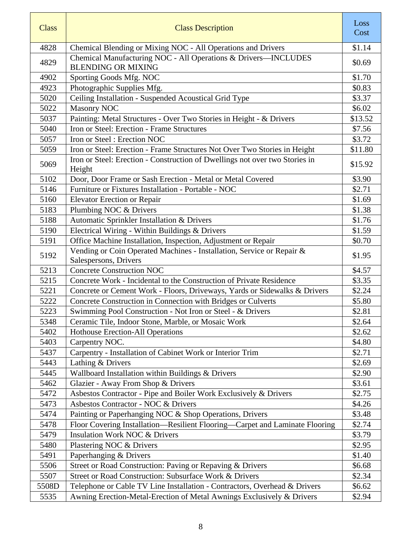| Chemical Blending or Mixing NOC - All Operations and Drivers<br>4828<br>\$1.14<br>Chemical Manufacturing NOC - All Operations & Drivers-INCLUDES<br>4829<br>\$0.69<br><b>BLENDING OR MIXING</b><br>\$1.70<br>4902<br>Sporting Goods Mfg. NOC<br>4923<br>Photographic Supplies Mfg.<br>\$0.83<br>Ceiling Installation - Suspended Acoustical Grid Type<br>\$3.37<br>5020<br><b>Masonry NOC</b><br>5022<br>\$6.02<br>Painting: Metal Structures - Over Two Stories in Height - & Drivers<br>5037<br>\$13.52<br>Iron or Steel: Erection - Frame Structures<br>5040<br>\$7.56<br>5057<br>Iron or Steel: Erection NOC<br>\$3.72<br>5059<br>Iron or Steel: Erection - Frame Structures Not Over Two Stories in Height<br>\$11.80<br>Iron or Steel: Erection - Construction of Dwellings not over two Stories in<br>5069<br>\$15.92<br>Height<br>Door, Door Frame or Sash Erection - Metal or Metal Covered<br>5102<br>\$3.90<br>5146<br>Furniture or Fixtures Installation - Portable - NOC<br>\$2.71<br>5160<br><b>Elevator Erection or Repair</b><br>\$1.69<br>\$1.38<br>5183<br>Plumbing NOC & Drivers<br>Automatic Sprinkler Installation & Drivers<br>5188<br>\$1.76<br>5190<br>Electrical Wiring - Within Buildings & Drivers<br>\$1.59<br>Office Machine Installation, Inspection, Adjustment or Repair<br>\$0.70<br>5191<br>Vending or Coin Operated Machines - Installation, Service or Repair &<br>\$1.95<br>5192<br>Salespersons, Drivers<br><b>Concrete Construction NOC</b><br>5213<br>\$4.57<br>Concrete Work - Incidental to the Construction of Private Residence<br>5215<br>\$3.35<br>5221<br>Concrete or Cement Work - Floors, Driveways, Yards or Sidewalks & Drivers<br>\$2.24<br>Concrete Construction in Connection with Bridges or Culverts<br>\$5.80<br>5222<br>\$2.81<br>5223<br>Swimming Pool Construction - Not Iron or Steel - & Drivers<br>5348<br>\$2.64<br>Ceramic Tile, Indoor Stone, Marble, or Mosaic Work<br>\$2.62<br>5402<br>Hothouse Erection-All Operations<br>5403<br>\$4.80<br>Carpentry NOC.<br>Carpentry - Installation of Cabinet Work or Interior Trim<br>5437<br>\$2.71<br>Lathing & Drivers<br>\$2.69<br>5443<br>Wallboard Installation within Buildings & Drivers<br>\$2.90<br>5445<br>Glazier - Away From Shop & Drivers<br>\$3.61<br>5462<br>Asbestos Contractor - Pipe and Boiler Work Exclusively & Drivers<br>5472<br>\$2.75<br>Asbestos Contractor - NOC & Drivers<br>\$4.26<br>5473<br>5474<br>Painting or Paperhanging NOC & Shop Operations, Drivers<br>\$3.48<br>Floor Covering Installation—Resilient Flooring—Carpet and Laminate Flooring<br>\$2.74<br>5478<br>5479<br><b>Insulation Work NOC &amp; Drivers</b><br>\$3.79<br>Plastering NOC & Drivers<br>\$2.95<br>5480<br>5491<br>Paperhanging & Drivers<br>\$1.40<br>Street or Road Construction: Paving or Repaving & Drivers<br>\$6.68<br>5506<br>5507<br>Street or Road Construction: Subsurface Work & Drivers<br>\$2.34<br>Telephone or Cable TV Line Installation - Contractors, Overhead & Drivers<br>\$6.62<br>5508D<br>\$2.94<br>5535<br>Awning Erection-Metal-Erection of Metal Awnings Exclusively & Drivers | <b>Class</b> | <b>Class Description</b> | Loss<br>Cost |
|----------------------------------------------------------------------------------------------------------------------------------------------------------------------------------------------------------------------------------------------------------------------------------------------------------------------------------------------------------------------------------------------------------------------------------------------------------------------------------------------------------------------------------------------------------------------------------------------------------------------------------------------------------------------------------------------------------------------------------------------------------------------------------------------------------------------------------------------------------------------------------------------------------------------------------------------------------------------------------------------------------------------------------------------------------------------------------------------------------------------------------------------------------------------------------------------------------------------------------------------------------------------------------------------------------------------------------------------------------------------------------------------------------------------------------------------------------------------------------------------------------------------------------------------------------------------------------------------------------------------------------------------------------------------------------------------------------------------------------------------------------------------------------------------------------------------------------------------------------------------------------------------------------------------------------------------------------------------------------------------------------------------------------------------------------------------------------------------------------------------------------------------------------------------------------------------------------------------------------------------------------------------------------------------------------------------------------------------------------------------------------------------------------------------------------------------------------------------------------------------------------------------------------------------------------------------------------------------------------------------------------------------------------------------------------------------------------------------------------------------------------------------------------------------------------------------------------------------------------------------------------------------------------------------------------------------------------------------------------------------------------------------------------------------------------------------------------------------------------------------------------|--------------|--------------------------|--------------|
|                                                                                                                                                                                                                                                                                                                                                                                                                                                                                                                                                                                                                                                                                                                                                                                                                                                                                                                                                                                                                                                                                                                                                                                                                                                                                                                                                                                                                                                                                                                                                                                                                                                                                                                                                                                                                                                                                                                                                                                                                                                                                                                                                                                                                                                                                                                                                                                                                                                                                                                                                                                                                                                                                                                                                                                                                                                                                                                                                                                                                                                                                                                                  |              |                          |              |
|                                                                                                                                                                                                                                                                                                                                                                                                                                                                                                                                                                                                                                                                                                                                                                                                                                                                                                                                                                                                                                                                                                                                                                                                                                                                                                                                                                                                                                                                                                                                                                                                                                                                                                                                                                                                                                                                                                                                                                                                                                                                                                                                                                                                                                                                                                                                                                                                                                                                                                                                                                                                                                                                                                                                                                                                                                                                                                                                                                                                                                                                                                                                  |              |                          |              |
|                                                                                                                                                                                                                                                                                                                                                                                                                                                                                                                                                                                                                                                                                                                                                                                                                                                                                                                                                                                                                                                                                                                                                                                                                                                                                                                                                                                                                                                                                                                                                                                                                                                                                                                                                                                                                                                                                                                                                                                                                                                                                                                                                                                                                                                                                                                                                                                                                                                                                                                                                                                                                                                                                                                                                                                                                                                                                                                                                                                                                                                                                                                                  |              |                          |              |
|                                                                                                                                                                                                                                                                                                                                                                                                                                                                                                                                                                                                                                                                                                                                                                                                                                                                                                                                                                                                                                                                                                                                                                                                                                                                                                                                                                                                                                                                                                                                                                                                                                                                                                                                                                                                                                                                                                                                                                                                                                                                                                                                                                                                                                                                                                                                                                                                                                                                                                                                                                                                                                                                                                                                                                                                                                                                                                                                                                                                                                                                                                                                  |              |                          |              |
|                                                                                                                                                                                                                                                                                                                                                                                                                                                                                                                                                                                                                                                                                                                                                                                                                                                                                                                                                                                                                                                                                                                                                                                                                                                                                                                                                                                                                                                                                                                                                                                                                                                                                                                                                                                                                                                                                                                                                                                                                                                                                                                                                                                                                                                                                                                                                                                                                                                                                                                                                                                                                                                                                                                                                                                                                                                                                                                                                                                                                                                                                                                                  |              |                          |              |
|                                                                                                                                                                                                                                                                                                                                                                                                                                                                                                                                                                                                                                                                                                                                                                                                                                                                                                                                                                                                                                                                                                                                                                                                                                                                                                                                                                                                                                                                                                                                                                                                                                                                                                                                                                                                                                                                                                                                                                                                                                                                                                                                                                                                                                                                                                                                                                                                                                                                                                                                                                                                                                                                                                                                                                                                                                                                                                                                                                                                                                                                                                                                  |              |                          |              |
|                                                                                                                                                                                                                                                                                                                                                                                                                                                                                                                                                                                                                                                                                                                                                                                                                                                                                                                                                                                                                                                                                                                                                                                                                                                                                                                                                                                                                                                                                                                                                                                                                                                                                                                                                                                                                                                                                                                                                                                                                                                                                                                                                                                                                                                                                                                                                                                                                                                                                                                                                                                                                                                                                                                                                                                                                                                                                                                                                                                                                                                                                                                                  |              |                          |              |
|                                                                                                                                                                                                                                                                                                                                                                                                                                                                                                                                                                                                                                                                                                                                                                                                                                                                                                                                                                                                                                                                                                                                                                                                                                                                                                                                                                                                                                                                                                                                                                                                                                                                                                                                                                                                                                                                                                                                                                                                                                                                                                                                                                                                                                                                                                                                                                                                                                                                                                                                                                                                                                                                                                                                                                                                                                                                                                                                                                                                                                                                                                                                  |              |                          |              |
|                                                                                                                                                                                                                                                                                                                                                                                                                                                                                                                                                                                                                                                                                                                                                                                                                                                                                                                                                                                                                                                                                                                                                                                                                                                                                                                                                                                                                                                                                                                                                                                                                                                                                                                                                                                                                                                                                                                                                                                                                                                                                                                                                                                                                                                                                                                                                                                                                                                                                                                                                                                                                                                                                                                                                                                                                                                                                                                                                                                                                                                                                                                                  |              |                          |              |
|                                                                                                                                                                                                                                                                                                                                                                                                                                                                                                                                                                                                                                                                                                                                                                                                                                                                                                                                                                                                                                                                                                                                                                                                                                                                                                                                                                                                                                                                                                                                                                                                                                                                                                                                                                                                                                                                                                                                                                                                                                                                                                                                                                                                                                                                                                                                                                                                                                                                                                                                                                                                                                                                                                                                                                                                                                                                                                                                                                                                                                                                                                                                  |              |                          |              |
|                                                                                                                                                                                                                                                                                                                                                                                                                                                                                                                                                                                                                                                                                                                                                                                                                                                                                                                                                                                                                                                                                                                                                                                                                                                                                                                                                                                                                                                                                                                                                                                                                                                                                                                                                                                                                                                                                                                                                                                                                                                                                                                                                                                                                                                                                                                                                                                                                                                                                                                                                                                                                                                                                                                                                                                                                                                                                                                                                                                                                                                                                                                                  |              |                          |              |
|                                                                                                                                                                                                                                                                                                                                                                                                                                                                                                                                                                                                                                                                                                                                                                                                                                                                                                                                                                                                                                                                                                                                                                                                                                                                                                                                                                                                                                                                                                                                                                                                                                                                                                                                                                                                                                                                                                                                                                                                                                                                                                                                                                                                                                                                                                                                                                                                                                                                                                                                                                                                                                                                                                                                                                                                                                                                                                                                                                                                                                                                                                                                  |              |                          |              |
|                                                                                                                                                                                                                                                                                                                                                                                                                                                                                                                                                                                                                                                                                                                                                                                                                                                                                                                                                                                                                                                                                                                                                                                                                                                                                                                                                                                                                                                                                                                                                                                                                                                                                                                                                                                                                                                                                                                                                                                                                                                                                                                                                                                                                                                                                                                                                                                                                                                                                                                                                                                                                                                                                                                                                                                                                                                                                                                                                                                                                                                                                                                                  |              |                          |              |
|                                                                                                                                                                                                                                                                                                                                                                                                                                                                                                                                                                                                                                                                                                                                                                                                                                                                                                                                                                                                                                                                                                                                                                                                                                                                                                                                                                                                                                                                                                                                                                                                                                                                                                                                                                                                                                                                                                                                                                                                                                                                                                                                                                                                                                                                                                                                                                                                                                                                                                                                                                                                                                                                                                                                                                                                                                                                                                                                                                                                                                                                                                                                  |              |                          |              |
|                                                                                                                                                                                                                                                                                                                                                                                                                                                                                                                                                                                                                                                                                                                                                                                                                                                                                                                                                                                                                                                                                                                                                                                                                                                                                                                                                                                                                                                                                                                                                                                                                                                                                                                                                                                                                                                                                                                                                                                                                                                                                                                                                                                                                                                                                                                                                                                                                                                                                                                                                                                                                                                                                                                                                                                                                                                                                                                                                                                                                                                                                                                                  |              |                          |              |
|                                                                                                                                                                                                                                                                                                                                                                                                                                                                                                                                                                                                                                                                                                                                                                                                                                                                                                                                                                                                                                                                                                                                                                                                                                                                                                                                                                                                                                                                                                                                                                                                                                                                                                                                                                                                                                                                                                                                                                                                                                                                                                                                                                                                                                                                                                                                                                                                                                                                                                                                                                                                                                                                                                                                                                                                                                                                                                                                                                                                                                                                                                                                  |              |                          |              |
|                                                                                                                                                                                                                                                                                                                                                                                                                                                                                                                                                                                                                                                                                                                                                                                                                                                                                                                                                                                                                                                                                                                                                                                                                                                                                                                                                                                                                                                                                                                                                                                                                                                                                                                                                                                                                                                                                                                                                                                                                                                                                                                                                                                                                                                                                                                                                                                                                                                                                                                                                                                                                                                                                                                                                                                                                                                                                                                                                                                                                                                                                                                                  |              |                          |              |
|                                                                                                                                                                                                                                                                                                                                                                                                                                                                                                                                                                                                                                                                                                                                                                                                                                                                                                                                                                                                                                                                                                                                                                                                                                                                                                                                                                                                                                                                                                                                                                                                                                                                                                                                                                                                                                                                                                                                                                                                                                                                                                                                                                                                                                                                                                                                                                                                                                                                                                                                                                                                                                                                                                                                                                                                                                                                                                                                                                                                                                                                                                                                  |              |                          |              |
|                                                                                                                                                                                                                                                                                                                                                                                                                                                                                                                                                                                                                                                                                                                                                                                                                                                                                                                                                                                                                                                                                                                                                                                                                                                                                                                                                                                                                                                                                                                                                                                                                                                                                                                                                                                                                                                                                                                                                                                                                                                                                                                                                                                                                                                                                                                                                                                                                                                                                                                                                                                                                                                                                                                                                                                                                                                                                                                                                                                                                                                                                                                                  |              |                          |              |
|                                                                                                                                                                                                                                                                                                                                                                                                                                                                                                                                                                                                                                                                                                                                                                                                                                                                                                                                                                                                                                                                                                                                                                                                                                                                                                                                                                                                                                                                                                                                                                                                                                                                                                                                                                                                                                                                                                                                                                                                                                                                                                                                                                                                                                                                                                                                                                                                                                                                                                                                                                                                                                                                                                                                                                                                                                                                                                                                                                                                                                                                                                                                  |              |                          |              |
|                                                                                                                                                                                                                                                                                                                                                                                                                                                                                                                                                                                                                                                                                                                                                                                                                                                                                                                                                                                                                                                                                                                                                                                                                                                                                                                                                                                                                                                                                                                                                                                                                                                                                                                                                                                                                                                                                                                                                                                                                                                                                                                                                                                                                                                                                                                                                                                                                                                                                                                                                                                                                                                                                                                                                                                                                                                                                                                                                                                                                                                                                                                                  |              |                          |              |
|                                                                                                                                                                                                                                                                                                                                                                                                                                                                                                                                                                                                                                                                                                                                                                                                                                                                                                                                                                                                                                                                                                                                                                                                                                                                                                                                                                                                                                                                                                                                                                                                                                                                                                                                                                                                                                                                                                                                                                                                                                                                                                                                                                                                                                                                                                                                                                                                                                                                                                                                                                                                                                                                                                                                                                                                                                                                                                                                                                                                                                                                                                                                  |              |                          |              |
|                                                                                                                                                                                                                                                                                                                                                                                                                                                                                                                                                                                                                                                                                                                                                                                                                                                                                                                                                                                                                                                                                                                                                                                                                                                                                                                                                                                                                                                                                                                                                                                                                                                                                                                                                                                                                                                                                                                                                                                                                                                                                                                                                                                                                                                                                                                                                                                                                                                                                                                                                                                                                                                                                                                                                                                                                                                                                                                                                                                                                                                                                                                                  |              |                          |              |
|                                                                                                                                                                                                                                                                                                                                                                                                                                                                                                                                                                                                                                                                                                                                                                                                                                                                                                                                                                                                                                                                                                                                                                                                                                                                                                                                                                                                                                                                                                                                                                                                                                                                                                                                                                                                                                                                                                                                                                                                                                                                                                                                                                                                                                                                                                                                                                                                                                                                                                                                                                                                                                                                                                                                                                                                                                                                                                                                                                                                                                                                                                                                  |              |                          |              |
|                                                                                                                                                                                                                                                                                                                                                                                                                                                                                                                                                                                                                                                                                                                                                                                                                                                                                                                                                                                                                                                                                                                                                                                                                                                                                                                                                                                                                                                                                                                                                                                                                                                                                                                                                                                                                                                                                                                                                                                                                                                                                                                                                                                                                                                                                                                                                                                                                                                                                                                                                                                                                                                                                                                                                                                                                                                                                                                                                                                                                                                                                                                                  |              |                          |              |
|                                                                                                                                                                                                                                                                                                                                                                                                                                                                                                                                                                                                                                                                                                                                                                                                                                                                                                                                                                                                                                                                                                                                                                                                                                                                                                                                                                                                                                                                                                                                                                                                                                                                                                                                                                                                                                                                                                                                                                                                                                                                                                                                                                                                                                                                                                                                                                                                                                                                                                                                                                                                                                                                                                                                                                                                                                                                                                                                                                                                                                                                                                                                  |              |                          |              |
|                                                                                                                                                                                                                                                                                                                                                                                                                                                                                                                                                                                                                                                                                                                                                                                                                                                                                                                                                                                                                                                                                                                                                                                                                                                                                                                                                                                                                                                                                                                                                                                                                                                                                                                                                                                                                                                                                                                                                                                                                                                                                                                                                                                                                                                                                                                                                                                                                                                                                                                                                                                                                                                                                                                                                                                                                                                                                                                                                                                                                                                                                                                                  |              |                          |              |
|                                                                                                                                                                                                                                                                                                                                                                                                                                                                                                                                                                                                                                                                                                                                                                                                                                                                                                                                                                                                                                                                                                                                                                                                                                                                                                                                                                                                                                                                                                                                                                                                                                                                                                                                                                                                                                                                                                                                                                                                                                                                                                                                                                                                                                                                                                                                                                                                                                                                                                                                                                                                                                                                                                                                                                                                                                                                                                                                                                                                                                                                                                                                  |              |                          |              |
|                                                                                                                                                                                                                                                                                                                                                                                                                                                                                                                                                                                                                                                                                                                                                                                                                                                                                                                                                                                                                                                                                                                                                                                                                                                                                                                                                                                                                                                                                                                                                                                                                                                                                                                                                                                                                                                                                                                                                                                                                                                                                                                                                                                                                                                                                                                                                                                                                                                                                                                                                                                                                                                                                                                                                                                                                                                                                                                                                                                                                                                                                                                                  |              |                          |              |
|                                                                                                                                                                                                                                                                                                                                                                                                                                                                                                                                                                                                                                                                                                                                                                                                                                                                                                                                                                                                                                                                                                                                                                                                                                                                                                                                                                                                                                                                                                                                                                                                                                                                                                                                                                                                                                                                                                                                                                                                                                                                                                                                                                                                                                                                                                                                                                                                                                                                                                                                                                                                                                                                                                                                                                                                                                                                                                                                                                                                                                                                                                                                  |              |                          |              |
|                                                                                                                                                                                                                                                                                                                                                                                                                                                                                                                                                                                                                                                                                                                                                                                                                                                                                                                                                                                                                                                                                                                                                                                                                                                                                                                                                                                                                                                                                                                                                                                                                                                                                                                                                                                                                                                                                                                                                                                                                                                                                                                                                                                                                                                                                                                                                                                                                                                                                                                                                                                                                                                                                                                                                                                                                                                                                                                                                                                                                                                                                                                                  |              |                          |              |
|                                                                                                                                                                                                                                                                                                                                                                                                                                                                                                                                                                                                                                                                                                                                                                                                                                                                                                                                                                                                                                                                                                                                                                                                                                                                                                                                                                                                                                                                                                                                                                                                                                                                                                                                                                                                                                                                                                                                                                                                                                                                                                                                                                                                                                                                                                                                                                                                                                                                                                                                                                                                                                                                                                                                                                                                                                                                                                                                                                                                                                                                                                                                  |              |                          |              |
|                                                                                                                                                                                                                                                                                                                                                                                                                                                                                                                                                                                                                                                                                                                                                                                                                                                                                                                                                                                                                                                                                                                                                                                                                                                                                                                                                                                                                                                                                                                                                                                                                                                                                                                                                                                                                                                                                                                                                                                                                                                                                                                                                                                                                                                                                                                                                                                                                                                                                                                                                                                                                                                                                                                                                                                                                                                                                                                                                                                                                                                                                                                                  |              |                          |              |
|                                                                                                                                                                                                                                                                                                                                                                                                                                                                                                                                                                                                                                                                                                                                                                                                                                                                                                                                                                                                                                                                                                                                                                                                                                                                                                                                                                                                                                                                                                                                                                                                                                                                                                                                                                                                                                                                                                                                                                                                                                                                                                                                                                                                                                                                                                                                                                                                                                                                                                                                                                                                                                                                                                                                                                                                                                                                                                                                                                                                                                                                                                                                  |              |                          |              |
|                                                                                                                                                                                                                                                                                                                                                                                                                                                                                                                                                                                                                                                                                                                                                                                                                                                                                                                                                                                                                                                                                                                                                                                                                                                                                                                                                                                                                                                                                                                                                                                                                                                                                                                                                                                                                                                                                                                                                                                                                                                                                                                                                                                                                                                                                                                                                                                                                                                                                                                                                                                                                                                                                                                                                                                                                                                                                                                                                                                                                                                                                                                                  |              |                          |              |
|                                                                                                                                                                                                                                                                                                                                                                                                                                                                                                                                                                                                                                                                                                                                                                                                                                                                                                                                                                                                                                                                                                                                                                                                                                                                                                                                                                                                                                                                                                                                                                                                                                                                                                                                                                                                                                                                                                                                                                                                                                                                                                                                                                                                                                                                                                                                                                                                                                                                                                                                                                                                                                                                                                                                                                                                                                                                                                                                                                                                                                                                                                                                  |              |                          |              |
|                                                                                                                                                                                                                                                                                                                                                                                                                                                                                                                                                                                                                                                                                                                                                                                                                                                                                                                                                                                                                                                                                                                                                                                                                                                                                                                                                                                                                                                                                                                                                                                                                                                                                                                                                                                                                                                                                                                                                                                                                                                                                                                                                                                                                                                                                                                                                                                                                                                                                                                                                                                                                                                                                                                                                                                                                                                                                                                                                                                                                                                                                                                                  |              |                          |              |
|                                                                                                                                                                                                                                                                                                                                                                                                                                                                                                                                                                                                                                                                                                                                                                                                                                                                                                                                                                                                                                                                                                                                                                                                                                                                                                                                                                                                                                                                                                                                                                                                                                                                                                                                                                                                                                                                                                                                                                                                                                                                                                                                                                                                                                                                                                                                                                                                                                                                                                                                                                                                                                                                                                                                                                                                                                                                                                                                                                                                                                                                                                                                  |              |                          |              |
|                                                                                                                                                                                                                                                                                                                                                                                                                                                                                                                                                                                                                                                                                                                                                                                                                                                                                                                                                                                                                                                                                                                                                                                                                                                                                                                                                                                                                                                                                                                                                                                                                                                                                                                                                                                                                                                                                                                                                                                                                                                                                                                                                                                                                                                                                                                                                                                                                                                                                                                                                                                                                                                                                                                                                                                                                                                                                                                                                                                                                                                                                                                                  |              |                          |              |
|                                                                                                                                                                                                                                                                                                                                                                                                                                                                                                                                                                                                                                                                                                                                                                                                                                                                                                                                                                                                                                                                                                                                                                                                                                                                                                                                                                                                                                                                                                                                                                                                                                                                                                                                                                                                                                                                                                                                                                                                                                                                                                                                                                                                                                                                                                                                                                                                                                                                                                                                                                                                                                                                                                                                                                                                                                                                                                                                                                                                                                                                                                                                  |              |                          |              |
|                                                                                                                                                                                                                                                                                                                                                                                                                                                                                                                                                                                                                                                                                                                                                                                                                                                                                                                                                                                                                                                                                                                                                                                                                                                                                                                                                                                                                                                                                                                                                                                                                                                                                                                                                                                                                                                                                                                                                                                                                                                                                                                                                                                                                                                                                                                                                                                                                                                                                                                                                                                                                                                                                                                                                                                                                                                                                                                                                                                                                                                                                                                                  |              |                          |              |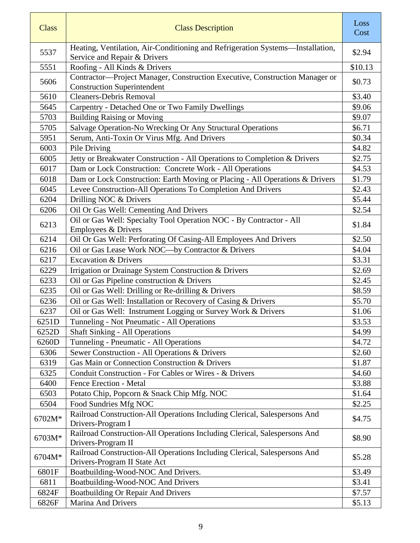| <b>Class</b> | <b>Class Description</b>                                                                                          | Loss<br>Cost |
|--------------|-------------------------------------------------------------------------------------------------------------------|--------------|
| 5537         | Heating, Ventilation, Air-Conditioning and Refrigeration Systems-Installation,<br>Service and Repair & Drivers    | \$2.94       |
| 5551         | Roofing - All Kinds & Drivers                                                                                     | \$10.13      |
| 5606         | Contractor-Project Manager, Construction Executive, Construction Manager or<br><b>Construction Superintendent</b> | \$0.73       |
| 5610         | <b>Cleaners-Debris Removal</b>                                                                                    | \$3.40       |
| 5645         | Carpentry - Detached One or Two Family Dwellings                                                                  | \$9.06       |
| 5703         | <b>Building Raising or Moving</b>                                                                                 | \$9.07       |
| 5705         | Salvage Operation-No Wrecking Or Any Structural Operations                                                        | \$6.71       |
| 5951         | Serum, Anti-Toxin Or Virus Mfg. And Drivers                                                                       | \$0.34       |
| 6003         | Pile Driving                                                                                                      | \$4.82       |
| 6005         | Jetty or Breakwater Construction - All Operations to Completion & Drivers                                         | \$2.75       |
| 6017         | Dam or Lock Construction: Concrete Work - All Operations                                                          | \$4.53       |
| 6018         | Dam or Lock Construction: Earth Moving or Placing - All Operations & Drivers                                      | \$1.79       |
| 6045         | Levee Construction-All Operations To Completion And Drivers                                                       | \$2.43       |
| 6204         | Drilling NOC & Drivers                                                                                            | \$5.44       |
| 6206         | Oil Or Gas Well: Cementing And Drivers                                                                            | \$2.54       |
| 6213         | Oil or Gas Well: Specialty Tool Operation NOC - By Contractor - All<br>Employees & Drivers                        | \$1.84       |
| 6214         | Oil Or Gas Well: Perforating Of Casing-All Employees And Drivers                                                  | \$2.50       |
| 6216         | Oil or Gas Lease Work NOC-by Contractor & Drivers                                                                 | \$4.04       |
| 6217         | <b>Excavation &amp; Drivers</b>                                                                                   | \$3.31       |
| 6229         | Irrigation or Drainage System Construction & Drivers                                                              | \$2.69       |
| 6233         | Oil or Gas Pipeline construction & Drivers                                                                        | \$2.45       |
| 6235         | Oil or Gas Well: Drilling or Re-drilling & Drivers                                                                | \$8.59       |
| 6236         | Oil or Gas Well: Installation or Recovery of Casing & Drivers                                                     | \$5.70       |
| 6237         | Oil or Gas Well: Instrument Logging or Survey Work & Drivers                                                      | \$1.06       |
| 6251D        | Tunneling - Not Pneumatic - All Operations                                                                        | \$3.53       |
| 6252D        | <b>Shaft Sinking - All Operations</b>                                                                             | \$4.99       |
| 6260D        | Tunneling - Pneumatic - All Operations                                                                            | \$4.72       |
| 6306         | Sewer Construction - All Operations & Drivers                                                                     | \$2.60       |
| 6319         | Gas Main or Connection Construction & Drivers                                                                     | \$1.87       |
| 6325         | Conduit Construction - For Cables or Wires - & Drivers                                                            | \$4.60       |
| 6400         | Fence Erection - Metal                                                                                            | \$3.88       |
| 6503         | Potato Chip, Popcorn & Snack Chip Mfg. NOC                                                                        | \$1.64       |
| 6504         | Food Sundries Mfg NOC                                                                                             | \$2.25       |
| 6702M*       | Railroad Construction-All Operations Including Clerical, Salespersons And<br>Drivers-Program I                    | \$4.75       |
| 6703M*       | Railroad Construction-All Operations Including Clerical, Salespersons And<br>Drivers-Program II                   | \$8.90       |
| 6704M*       | Railroad Construction-All Operations Including Clerical, Salespersons And<br>Drivers-Program II State Act         | \$5.28       |
| 6801F        | Boatbuilding-Wood-NOC And Drivers.                                                                                | \$3.49       |
| 6811         | Boatbuilding-Wood-NOC And Drivers                                                                                 | \$3.41       |
| 6824F        | Boatbuilding Or Repair And Drivers                                                                                | \$7.57       |
| 6826F        | <b>Marina And Drivers</b>                                                                                         | \$5.13       |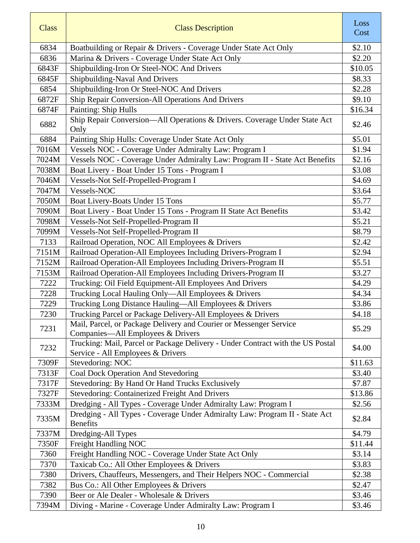| <b>Class</b> | <b>Class Description</b>                                                                                            | Loss<br>Cost |
|--------------|---------------------------------------------------------------------------------------------------------------------|--------------|
| 6834         | Boatbuilding or Repair & Drivers - Coverage Under State Act Only                                                    | \$2.10       |
| 6836         | Marina & Drivers - Coverage Under State Act Only                                                                    | \$2.20       |
| 6843F        | Shipbuilding-Iron Or Steel-NOC And Drivers                                                                          | \$10.05      |
| 6845F        | Shipbuilding-Naval And Drivers                                                                                      | \$8.33       |
| 6854         | Shipbuilding-Iron Or Steel-NOC And Drivers                                                                          | \$2.28       |
| 6872F        | Ship Repair Conversion-All Operations And Drivers                                                                   | \$9.10       |
| 6874F        | Painting: Ship Hulls                                                                                                | \$16.34      |
| 6882         | Ship Repair Conversion-All Operations & Drivers. Coverage Under State Act<br>Only                                   | \$2.46       |
| 6884         | Painting Ship Hulls: Coverage Under State Act Only                                                                  | \$5.01       |
| 7016M        | Vessels NOC - Coverage Under Admiralty Law: Program I                                                               | \$1.94       |
| 7024M        | Vessels NOC - Coverage Under Admiralty Law: Program II - State Act Benefits                                         | \$2.16       |
| 7038M        | Boat Livery - Boat Under 15 Tons - Program I                                                                        | \$3.08       |
| 7046M        | Vessels-Not Self-Propelled-Program I                                                                                | \$4.69       |
| 7047M        | Vessels-NOC                                                                                                         | \$3.64       |
| 7050M        | Boat Livery-Boats Under 15 Tons                                                                                     | \$5.77       |
| 7090M        | Boat Livery - Boat Under 15 Tons - Program II State Act Benefits                                                    | \$3.42       |
| 7098M        | Vessels-Not Self-Propelled-Program II                                                                               | \$5.21       |
| 7099M        | Vessels-Not Self-Propelled-Program II                                                                               | \$8.79       |
| 7133         | Railroad Operation, NOC All Employees & Drivers                                                                     | \$2.42       |
| 7151M        | Railroad Operation-All Employees Including Drivers-Program I                                                        | \$2.94       |
| 7152M        | Railroad Operation-All Employees Including Drivers-Program II                                                       | \$5.51       |
| 7153M        | Railroad Operation-All Employees Including Drivers-Program II                                                       | \$3.27       |
| 7222         | Trucking: Oil Field Equipment-All Employees And Drivers                                                             | \$4.29       |
| 7228         | Trucking Local Hauling Only-All Employees & Drivers                                                                 | \$4.34       |
| 7229         | Trucking Long Distance Hauling-All Employees & Drivers                                                              | \$3.86       |
| 7230         | Trucking Parcel or Package Delivery-All Employees & Drivers                                                         | \$4.18       |
| 7231         | Mail, Parcel, or Package Delivery and Courier or Messenger Service                                                  | \$5.29       |
|              | Companies—All Employees & Drivers                                                                                   |              |
| 7232         | Trucking: Mail, Parcel or Package Delivery - Under Contract with the US Postal<br>Service - All Employees & Drivers | \$4.00       |
| 7309F        | Stevedoring: NOC                                                                                                    | \$11.63      |
| 7313F        | Coal Dock Operation And Stevedoring                                                                                 | \$3.40       |
| 7317F        | Stevedoring: By Hand Or Hand Trucks Exclusively                                                                     | \$7.87       |
| 7327F        | Stevedoring: Containerized Freight And Drivers                                                                      | \$13.86      |
| 7333M        | Dredging - All Types - Coverage Under Admiralty Law: Program I                                                      | \$2.56       |
| 7335M        | Dredging - All Types - Coverage Under Admiralty Law: Program II - State Act<br><b>Benefits</b>                      | \$2.84       |
| 7337M        | Dredging-All Types                                                                                                  | \$4.79       |
| 7350F        | Freight Handling NOC                                                                                                | \$11.44      |
| 7360         | Freight Handling NOC - Coverage Under State Act Only                                                                | \$3.14       |
| 7370         | Taxicab Co.: All Other Employees & Drivers                                                                          | \$3.83       |
| 7380         | Drivers, Chauffeurs, Messengers, and Their Helpers NOC - Commercial                                                 | \$2.38       |
| 7382         | Bus Co.: All Other Employees & Drivers                                                                              | \$2.47       |
| 7390         | Beer or Ale Dealer - Wholesale & Drivers                                                                            | \$3.46       |
| 7394M        | Diving - Marine - Coverage Under Admiralty Law: Program I                                                           | \$3.46       |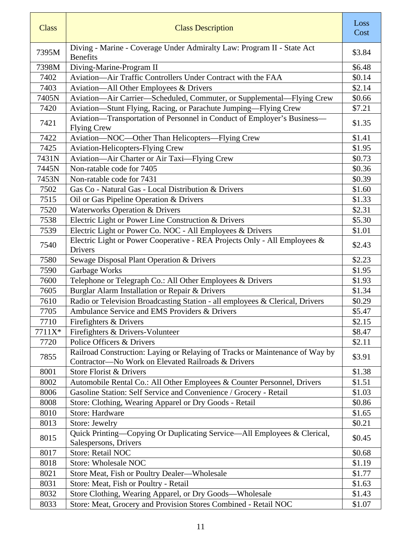| <b>Class</b> | <b>Class Description</b>                                                                                                           | Loss<br>Cost |
|--------------|------------------------------------------------------------------------------------------------------------------------------------|--------------|
| 7395M        | Diving - Marine - Coverage Under Admiralty Law: Program II - State Act<br><b>Benefits</b>                                          | \$3.84       |
| 7398M        | Diving-Marine-Program II                                                                                                           | \$6.48       |
| 7402         | Aviation-Air Traffic Controllers Under Contract with the FAA                                                                       | \$0.14       |
| 7403         | Aviation—All Other Employees & Drivers                                                                                             | \$2.14       |
| 7405N        | Aviation-Air Carrier-Scheduled, Commuter, or Supplemental-Flying Crew                                                              | \$0.66       |
| 7420         | Aviation-Stunt Flying, Racing, or Parachute Jumping-Flying Crew                                                                    | \$7.21       |
| 7421         | Aviation-Transportation of Personnel in Conduct of Employer's Business-<br><b>Flying Crew</b>                                      | \$1.35       |
| 7422         | Aviation—NOC—Other Than Helicopters—Flying Crew                                                                                    | \$1.41       |
| 7425         | <b>Aviation-Helicopters-Flying Crew</b>                                                                                            | \$1.95       |
| 7431N        | Aviation—Air Charter or Air Taxi—Flying Crew                                                                                       | \$0.73       |
| 7445N        | Non-ratable code for 7405                                                                                                          | \$0.36       |
| 7453N        | Non-ratable code for 7431                                                                                                          | \$0.39       |
| 7502         | Gas Co - Natural Gas - Local Distribution & Drivers                                                                                | \$1.60       |
| 7515         | Oil or Gas Pipeline Operation & Drivers                                                                                            | \$1.33       |
| 7520         | <b>Waterworks Operation &amp; Drivers</b>                                                                                          | \$2.31       |
| 7538         | Electric Light or Power Line Construction & Drivers                                                                                | \$5.30       |
| 7539         | Electric Light or Power Co. NOC - All Employees & Drivers                                                                          | \$1.01       |
| 7540         | Electric Light or Power Cooperative - REA Projects Only - All Employees &<br>Drivers                                               | \$2.43       |
| 7580         | Sewage Disposal Plant Operation & Drivers                                                                                          | \$2.23       |
| 7590         | Garbage Works                                                                                                                      | \$1.95       |
| 7600         | Telephone or Telegraph Co.: All Other Employees & Drivers                                                                          | \$1.93       |
| 7605         | Burglar Alarm Installation or Repair & Drivers                                                                                     | \$1.34       |
| 7610         | Radio or Television Broadcasting Station - all employees & Clerical, Drivers                                                       | \$0.29       |
| 7705         | Ambulance Service and EMS Providers & Drivers                                                                                      | \$5.47       |
| 7710         | Firefighters & Drivers                                                                                                             | \$2.15       |
| 7711X*       | Firefighters & Drivers-Volunteer                                                                                                   | \$8.47       |
| 7720         | Police Officers & Drivers                                                                                                          | \$2.11       |
| 7855         | Railroad Construction: Laying or Relaying of Tracks or Maintenance of Way by<br>Contractor-No Work on Elevated Railroads & Drivers | \$3.91       |
| 8001         | Store Florist & Drivers                                                                                                            | \$1.38       |
| 8002         | Automobile Rental Co.: All Other Employees & Counter Personnel, Drivers                                                            | \$1.51       |
| 8006         | Gasoline Station: Self Service and Convenience / Grocery - Retail                                                                  | \$1.03       |
| 8008         | Store: Clothing, Wearing Apparel or Dry Goods - Retail                                                                             | \$0.86       |
| 8010         | Store: Hardware                                                                                                                    | \$1.65       |
| 8013         | Store: Jewelry                                                                                                                     | \$0.21       |
| 8015         | Quick Printing—Copying Or Duplicating Service—All Employees & Clerical,<br>Salespersons, Drivers                                   | \$0.45       |
| 8017         | Store: Retail NOC                                                                                                                  | \$0.68       |
| 8018         | <b>Store: Wholesale NOC</b>                                                                                                        | \$1.19       |
| 8021         | Store Meat, Fish or Poultry Dealer-Wholesale                                                                                       | \$1.77       |
| 8031         | Store: Meat, Fish or Poultry - Retail                                                                                              | \$1.63       |
| 8032         | Store Clothing, Wearing Apparel, or Dry Goods-Wholesale                                                                            | \$1.43       |
| 8033         | Store: Meat, Grocery and Provision Stores Combined - Retail NOC                                                                    | \$1.07       |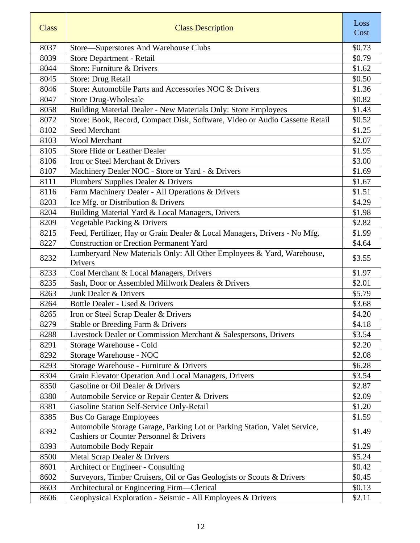| <b>Class</b> | <b>Class Description</b>                                                                                             | Loss<br>Cost |
|--------------|----------------------------------------------------------------------------------------------------------------------|--------------|
| 8037         | Store—Superstores And Warehouse Clubs                                                                                | \$0.73       |
| 8039         | Store Department - Retail                                                                                            | \$0.79       |
| 8044         | Store: Furniture & Drivers                                                                                           | \$1.62       |
| 8045         | Store: Drug Retail                                                                                                   | \$0.50       |
| 8046         | Store: Automobile Parts and Accessories NOC & Drivers                                                                | \$1.36       |
| 8047         | <b>Store Drug-Wholesale</b>                                                                                          | \$0.82       |
| 8058         | Building Material Dealer - New Materials Only: Store Employees                                                       | \$1.43       |
| 8072         | Store: Book, Record, Compact Disk, Software, Video or Audio Cassette Retail                                          | \$0.52       |
| 8102         | <b>Seed Merchant</b>                                                                                                 | \$1.25       |
| 8103         | <b>Wool Merchant</b>                                                                                                 | \$2.07       |
| 8105         | <b>Store Hide or Leather Dealer</b>                                                                                  | \$1.95       |
| 8106         | Iron or Steel Merchant & Drivers                                                                                     | \$3.00       |
| 8107         | Machinery Dealer NOC - Store or Yard - & Drivers                                                                     | \$1.69       |
| 8111         | Plumbers' Supplies Dealer & Drivers                                                                                  | \$1.67       |
| 8116         | Farm Machinery Dealer - All Operations & Drivers                                                                     | \$1.51       |
| 8203         | Ice Mfg. or Distribution & Drivers                                                                                   | \$4.29       |
| 8204         | Building Material Yard & Local Managers, Drivers                                                                     | \$1.98       |
| 8209         | Vegetable Packing & Drivers                                                                                          | \$2.82       |
| 8215         | Feed, Fertilizer, Hay or Grain Dealer & Local Managers, Drivers - No Mfg.                                            | \$1.99       |
| 8227         | <b>Construction or Erection Permanent Yard</b>                                                                       | \$4.64       |
| 8232         | Lumberyard New Materials Only: All Other Employees & Yard, Warehouse,<br><b>Drivers</b>                              | \$3.55       |
| 8233         | Coal Merchant & Local Managers, Drivers                                                                              | \$1.97       |
| 8235         | Sash, Door or Assembled Millwork Dealers & Drivers                                                                   | \$2.01       |
| 8263         | Junk Dealer & Drivers                                                                                                | \$5.79       |
| 8264         | Bottle Dealer - Used & Drivers                                                                                       | \$3.68       |
| 8265         | Iron or Steel Scrap Dealer & Drivers                                                                                 | \$4.20       |
| 8279         | Stable or Breeding Farm & Drivers                                                                                    | \$4.18       |
| 8288         | Livestock Dealer or Commission Merchant & Salespersons, Drivers                                                      | \$3.54       |
| 8291         | Storage Warehouse - Cold                                                                                             | \$2.20       |
| 8292         | Storage Warehouse - NOC                                                                                              | \$2.08       |
| 8293         | Storage Warehouse - Furniture & Drivers                                                                              | \$6.28       |
| 8304         | Grain Elevator Operation And Local Managers, Drivers                                                                 | \$3.54       |
| 8350         | Gasoline or Oil Dealer & Drivers                                                                                     | \$2.87       |
| 8380         | Automobile Service or Repair Center & Drivers                                                                        | \$2.09       |
| 8381         | <b>Gasoline Station Self-Service Only-Retail</b>                                                                     | \$1.20       |
| 8385         | <b>Bus Co Garage Employees</b>                                                                                       | \$1.59       |
| 8392         | Automobile Storage Garage, Parking Lot or Parking Station, Valet Service,<br>Cashiers or Counter Personnel & Drivers | \$1.49       |
| 8393         | Automobile Body Repair                                                                                               | \$1.29       |
| 8500         | Metal Scrap Dealer & Drivers                                                                                         | \$5.24       |
| 8601         | Architect or Engineer - Consulting                                                                                   | \$0.42       |
| 8602         | Surveyors, Timber Cruisers, Oil or Gas Geologists or Scouts & Drivers                                                | \$0.45       |
| 8603         | Architectural or Engineering Firm—Clerical                                                                           | \$0.13       |
| 8606         | Geophysical Exploration - Seismic - All Employees & Drivers                                                          | \$2.11       |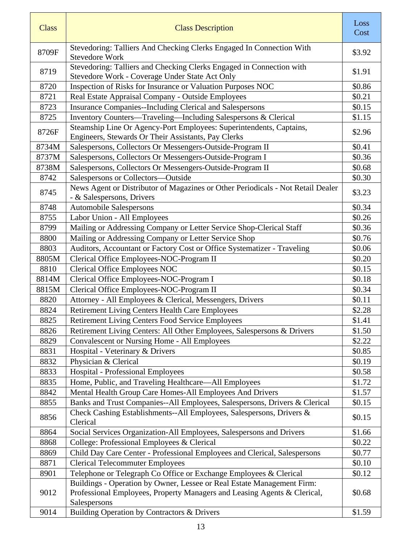| <b>Class</b> | <b>Class Description</b>                                                                                                                                           | Loss<br>Cost |
|--------------|--------------------------------------------------------------------------------------------------------------------------------------------------------------------|--------------|
| 8709F        | Stevedoring: Talliers And Checking Clerks Engaged In Connection With<br><b>Stevedore Work</b>                                                                      | \$3.92       |
| 8719         | Stevedoring: Talliers and Checking Clerks Engaged in Connection with<br>Stevedore Work - Coverage Under State Act Only                                             | \$1.91       |
| 8720         | Inspection of Risks for Insurance or Valuation Purposes NOC                                                                                                        | \$0.86       |
| 8721         | Real Estate Appraisal Company - Outside Employees                                                                                                                  | \$0.21       |
| 8723         | <b>Insurance Companies--Including Clerical and Salespersons</b>                                                                                                    | \$0.15       |
| 8725         | Inventory Counters—Traveling—Including Salespersons & Clerical                                                                                                     | \$1.15       |
| 8726F        | Steamship Line Or Agency-Port Employees: Superintendents, Captains,<br>Engineers, Stewards Or Their Assistants, Pay Clerks                                         | \$2.96       |
| 8734M        | Salespersons, Collectors Or Messengers-Outside-Program II                                                                                                          | \$0.41       |
| 8737M        | Salespersons, Collectors Or Messengers-Outside-Program I                                                                                                           | \$0.36       |
| 8738M        | Salespersons, Collectors Or Messengers-Outside-Program II                                                                                                          | \$0.68       |
| 8742         | Salespersons or Collectors-Outside                                                                                                                                 | \$0.30       |
| 8745         | News Agent or Distributor of Magazines or Other Periodicals - Not Retail Dealer<br>- & Salespersons, Drivers                                                       | \$3.23       |
| 8748         | <b>Automobile Salespersons</b>                                                                                                                                     | \$0.34       |
| 8755         | Labor Union - All Employees                                                                                                                                        | \$0.26       |
| 8799         | Mailing or Addressing Company or Letter Service Shop-Clerical Staff                                                                                                | \$0.36       |
| 8800         | Mailing or Addressing Company or Letter Service Shop                                                                                                               | \$0.76       |
| 8803         | Auditors, Accountant or Factory Cost or Office Systematizer - Traveling                                                                                            | \$0.06       |
| 8805M        | Clerical Office Employees-NOC-Program II                                                                                                                           | \$0.20       |
| 8810         | <b>Clerical Office Employees NOC</b>                                                                                                                               | \$0.15       |
| 8814M        | Clerical Office Employees-NOC-Program I                                                                                                                            | \$0.18       |
| 8815M        | Clerical Office Employees-NOC-Program II                                                                                                                           | \$0.34       |
| 8820         | Attorney - All Employees & Clerical, Messengers, Drivers                                                                                                           | \$0.11       |
| 8824         | <b>Retirement Living Centers Health Care Employees</b>                                                                                                             | \$2.28       |
| 8825         | Retirement Living Centers Food Service Employees                                                                                                                   | \$1.41       |
| 8826         | Retirement Living Centers: All Other Employees, Salespersons & Drivers                                                                                             | \$1.50       |
| 8829         | <b>Convalescent or Nursing Home - All Employees</b>                                                                                                                | \$2.22       |
| 8831         | Hospital - Veterinary & Drivers                                                                                                                                    | \$0.85       |
| 8832         | Physician & Clerical                                                                                                                                               | \$0.19       |
| 8833         | <b>Hospital - Professional Employees</b>                                                                                                                           | \$0.58       |
| 8835         | Home, Public, and Traveling Healthcare—All Employees                                                                                                               | \$1.72       |
| 8842         | Mental Health Group Care Homes-All Employees And Drivers                                                                                                           | \$1.57       |
| 8855         | Banks and Trust Companies--All Employees, Salespersons, Drivers & Clerical                                                                                         | \$0.15       |
| 8856         | Check Cashing Establishments--All Employees, Salespersons, Drivers &<br>Clerical                                                                                   | \$0.15       |
| 8864         | Social Services Organization-All Employees, Salespersons and Drivers                                                                                               | \$1.66       |
| 8868         | College: Professional Employees & Clerical                                                                                                                         | \$0.22       |
| 8869         | Child Day Care Center - Professional Employees and Clerical, Salespersons                                                                                          | \$0.77       |
| 8871         | <b>Clerical Telecommuter Employees</b>                                                                                                                             | \$0.10       |
| 8901         | Telephone or Telegraph Co Office or Exchange Employees & Clerical                                                                                                  | \$0.12       |
| 9012         | Buildings - Operation by Owner, Lessee or Real Estate Management Firm:<br>Professional Employees, Property Managers and Leasing Agents & Clerical,<br>Salespersons | \$0.68       |
| 9014         | Building Operation by Contractors & Drivers                                                                                                                        | \$1.59       |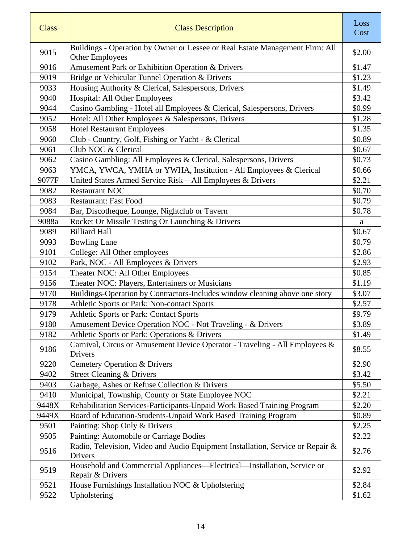| <b>Class</b> | <b>Class Description</b>                                                                               | Loss<br>Cost |
|--------------|--------------------------------------------------------------------------------------------------------|--------------|
| 9015         | Buildings - Operation by Owner or Lessee or Real Estate Management Firm: All<br><b>Other Employees</b> | \$2.00       |
| 9016         | Amusement Park or Exhibition Operation & Drivers                                                       | \$1.47       |
| 9019         | Bridge or Vehicular Tunnel Operation & Drivers                                                         | \$1.23       |
| 9033         | Housing Authority & Clerical, Salespersons, Drivers                                                    | \$1.49       |
| 9040         | Hospital: All Other Employees                                                                          | \$3.42       |
| 9044         | Casino Gambling - Hotel all Employees & Clerical, Salespersons, Drivers                                | \$0.99       |
| 9052         | Hotel: All Other Employees & Salespersons, Drivers                                                     | \$1.28       |
| 9058         | <b>Hotel Restaurant Employees</b>                                                                      | \$1.35       |
| 9060         | Club - Country, Golf, Fishing or Yacht - & Clerical                                                    | \$0.89       |
| 9061         | Club NOC & Clerical                                                                                    | \$0.67       |
| 9062         | Casino Gambling: All Employees & Clerical, Salespersons, Drivers                                       | \$0.73       |
| 9063         | YMCA, YWCA, YMHA or YWHA, Institution - All Employees & Clerical                                       | \$0.66       |
| 9077F        | United States Armed Service Risk-All Employees & Drivers                                               | \$2.21       |
| 9082         | <b>Restaurant NOC</b>                                                                                  | \$0.70       |
| 9083         | <b>Restaurant: Fast Food</b>                                                                           | \$0.79       |
| 9084         | Bar, Discotheque, Lounge, Nightclub or Tavern                                                          | \$0.78       |
| 9088a        | Rocket Or Missile Testing Or Launching & Drivers                                                       | a            |
| 9089         | <b>Billiard Hall</b>                                                                                   | \$0.67       |
| 9093         | <b>Bowling Lane</b>                                                                                    | \$0.79       |
| 9101         | College: All Other employees                                                                           | \$2.86       |
| 9102         | Park, NOC - All Employees & Drivers                                                                    | \$2.93       |
| 9154         | Theater NOC: All Other Employees                                                                       | \$0.85       |
| 9156         | Theater NOC: Players, Entertainers or Musicians                                                        | \$1.19       |
| 9170         | Buildings-Operation by Contractors-Includes window cleaning above one story                            | \$3.07       |
| 9178         | Athletic Sports or Park: Non-contact Sports                                                            | \$2.57       |
| 9179         | Athletic Sports or Park: Contact Sports                                                                | \$9.79       |
| 9180         | Amusement Device Operation NOC - Not Traveling - & Drivers                                             | \$3.89       |
| 9182         | Athletic Sports or Park: Operations & Drivers                                                          | \$1.49       |
| 9186         | Carnival, Circus or Amusement Device Operator - Traveling - All Employees &<br>Drivers                 | \$8.55       |
| 9220         | <b>Cemetery Operation &amp; Drivers</b>                                                                | \$2.90       |
| 9402         | <b>Street Cleaning &amp; Drivers</b>                                                                   | \$3.42       |
| 9403         | Garbage, Ashes or Refuse Collection & Drivers                                                          | \$5.50       |
| 9410         | Municipal, Township, County or State Employee NOC                                                      | \$2.21       |
| 9448X        | Rehabilitation Services-Participants-Unpaid Work Based Training Program                                | \$2.20       |
| 9449X        | Board of Education-Students-Unpaid Work Based Training Program                                         | \$0.89       |
| 9501         | Painting: Shop Only & Drivers                                                                          | \$2.25       |
| 9505         | Painting: Automobile or Carriage Bodies                                                                | \$2.22       |
| 9516         | Radio, Television, Video and Audio Equipment Installation, Service or Repair &<br>Drivers              | \$2.76       |
| 9519         | Household and Commercial Appliances-Electrical-Installation, Service or<br>Repair & Drivers            | \$2.92       |
| 9521         | House Furnishings Installation NOC & Upholstering                                                      | \$2.84       |
| 9522         | Upholstering                                                                                           | \$1.62       |